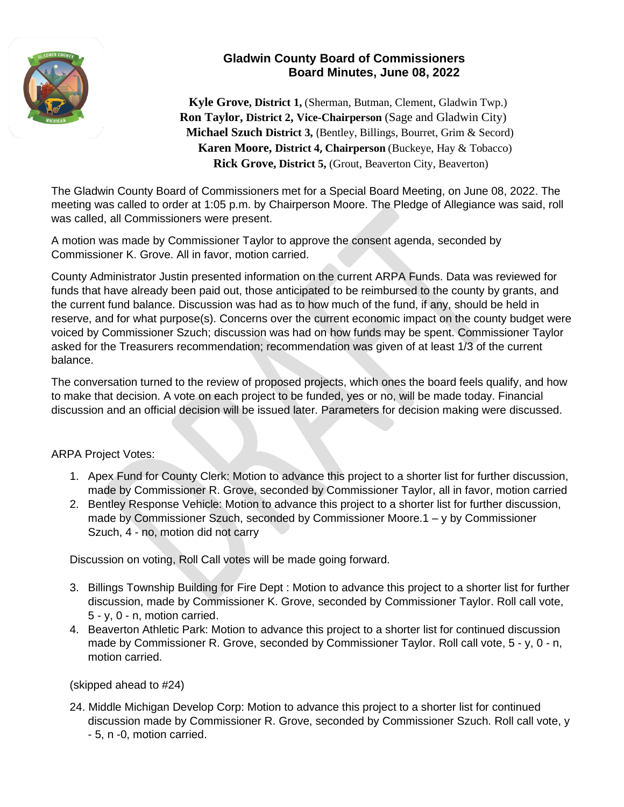

## **Gladwin County Board of Commissioners Board Minutes, June 08, 2022**

 **Kyle Grove, District 1,** (Sherman, Butman, Clement, Gladwin Twp.)  **Ron Taylor, District 2, Vice-Chairperson** (Sage and Gladwin City)  **Michael Szuch District 3,** (Bentley, Billings, Bourret, Grim & Secord) **Karen Moore, District 4, Chairperson** (Buckeye, Hay & Tobacco)  **Rick Grove, District 5,** (Grout, Beaverton City, Beaverton)

The Gladwin County Board of Commissioners met for a Special Board Meeting, on June 08, 2022. The meeting was called to order at 1:05 p.m. by Chairperson Moore. The Pledge of Allegiance was said, roll was called, all Commissioners were present.

A motion was made by Commissioner Taylor to approve the consent agenda, seconded by Commissioner K. Grove. All in favor, motion carried.

County Administrator Justin presented information on the current ARPA Funds. Data was reviewed for funds that have already been paid out, those anticipated to be reimbursed to the county by grants, and the current fund balance. Discussion was had as to how much of the fund, if any, should be held in reserve, and for what purpose(s). Concerns over the current economic impact on the county budget were voiced by Commissioner Szuch; discussion was had on how funds may be spent. Commissioner Taylor asked for the Treasurers recommendation; recommendation was given of at least 1/3 of the current balance.

The conversation turned to the review of proposed projects, which ones the board feels qualify, and how to make that decision. A vote on each project to be funded, yes or no, will be made today. Financial discussion and an official decision will be issued later. Parameters for decision making were discussed.

## ARPA Project Votes:

- 1. Apex Fund for County Clerk: Motion to advance this project to a shorter list for further discussion, made by Commissioner R. Grove, seconded by Commissioner Taylor, all in favor, motion carried
- 2. Bentley Response Vehicle: Motion to advance this project to a shorter list for further discussion, made by Commissioner Szuch, seconded by Commissioner Moore.1 – y by Commissioner Szuch, 4 - no, motion did not carry

Discussion on voting, Roll Call votes will be made going forward.

- 3. Billings Township Building for Fire Dept : Motion to advance this project to a shorter list for further discussion, made by Commissioner K. Grove, seconded by Commissioner Taylor. Roll call vote, 5 - y, 0 - n, motion carried.
- 4. Beaverton Athletic Park: Motion to advance this project to a shorter list for continued discussion made by Commissioner R. Grove, seconded by Commissioner Taylor. Roll call vote, 5 - y, 0 - n, motion carried.

(skipped ahead to #24)

24. Middle Michigan Develop Corp: Motion to advance this project to a shorter list for continued discussion made by Commissioner R. Grove, seconded by Commissioner Szuch. Roll call vote, y - 5, n -0, motion carried.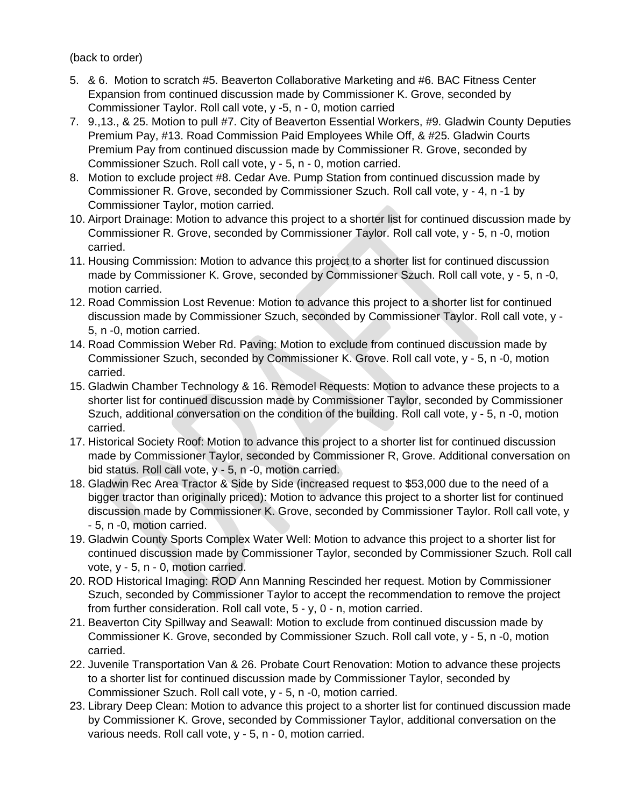(back to order)

- 5. & 6. Motion to scratch #5. Beaverton Collaborative Marketing and #6. BAC Fitness Center Expansion from continued discussion made by Commissioner K. Grove, seconded by Commissioner Taylor. Roll call vote, y -5, n - 0, motion carried
- 7. 9.,13., & 25. Motion to pull #7. City of Beaverton Essential Workers, #9. Gladwin County Deputies Premium Pay, #13. Road Commission Paid Employees While Off, & #25. Gladwin Courts Premium Pay from continued discussion made by Commissioner R. Grove, seconded by Commissioner Szuch. Roll call vote, y - 5, n - 0, motion carried.
- 8. Motion to exclude project #8. Cedar Ave. Pump Station from continued discussion made by Commissioner R. Grove, seconded by Commissioner Szuch. Roll call vote, y - 4, n -1 by Commissioner Taylor, motion carried.
- 10. Airport Drainage: Motion to advance this project to a shorter list for continued discussion made by Commissioner R. Grove, seconded by Commissioner Taylor. Roll call vote, y - 5, n -0, motion carried.
- 11. Housing Commission: Motion to advance this project to a shorter list for continued discussion made by Commissioner K. Grove, seconded by Commissioner Szuch. Roll call vote, y - 5, n -0, motion carried.
- 12. Road Commission Lost Revenue: Motion to advance this project to a shorter list for continued discussion made by Commissioner Szuch, seconded by Commissioner Taylor. Roll call vote, y - 5, n -0, motion carried.
- 14. Road Commission Weber Rd. Paving: Motion to exclude from continued discussion made by Commissioner Szuch, seconded by Commissioner K. Grove. Roll call vote, y - 5, n -0, motion carried.
- 15. Gladwin Chamber Technology & 16. Remodel Requests: Motion to advance these projects to a shorter list for continued discussion made by Commissioner Taylor, seconded by Commissioner Szuch, additional conversation on the condition of the building. Roll call vote, y - 5, n -0, motion carried.
- 17. Historical Society Roof: Motion to advance this project to a shorter list for continued discussion made by Commissioner Taylor, seconded by Commissioner R, Grove. Additional conversation on bid status. Roll call vote, y - 5, n -0, motion carried.
- 18. Gladwin Rec Area Tractor & Side by Side (increased request to \$53,000 due to the need of a bigger tractor than originally priced): Motion to advance this project to a shorter list for continued discussion made by Commissioner K. Grove, seconded by Commissioner Taylor. Roll call vote, y - 5, n -0, motion carried.
- 19. Gladwin County Sports Complex Water Well: Motion to advance this project to a shorter list for continued discussion made by Commissioner Taylor, seconded by Commissioner Szuch. Roll call vote, y - 5, n - 0, motion carried.
- 20. ROD Historical Imaging: ROD Ann Manning Rescinded her request. Motion by Commissioner Szuch, seconded by Commissioner Taylor to accept the recommendation to remove the project from further consideration. Roll call vote, 5 - y, 0 - n, motion carried.
- 21. Beaverton City Spillway and Seawall: Motion to exclude from continued discussion made by Commissioner K. Grove, seconded by Commissioner Szuch. Roll call vote, y - 5, n -0, motion carried.
- 22. Juvenile Transportation Van & 26. Probate Court Renovation: Motion to advance these projects to a shorter list for continued discussion made by Commissioner Taylor, seconded by Commissioner Szuch. Roll call vote, y - 5, n -0, motion carried.
- 23. Library Deep Clean: Motion to advance this project to a shorter list for continued discussion made by Commissioner K. Grove, seconded by Commissioner Taylor, additional conversation on the various needs. Roll call vote, y - 5, n - 0, motion carried.